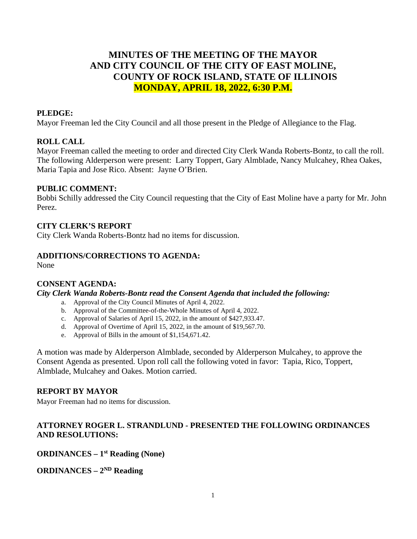# **MINUTES OF THE MEETING OF THE MAYOR AND CITY COUNCIL OF THE CITY OF EAST MOLINE, COUNTY OF ROCK ISLAND, STATE OF ILLINOIS MONDAY, APRIL 18, 2022, 6:30 P.M.**

## **PLEDGE:**

Mayor Freeman led the City Council and all those present in the Pledge of Allegiance to the Flag.

#### **ROLL CALL**

Mayor Freeman called the meeting to order and directed City Clerk Wanda Roberts-Bontz, to call the roll. The following Alderperson were present: Larry Toppert, Gary Almblade, Nancy Mulcahey, Rhea Oakes, Maria Tapia and Jose Rico. Absent: Jayne O'Brien.

#### **PUBLIC COMMENT:**

Bobbi Schilly addressed the City Council requesting that the City of East Moline have a party for Mr. John Perez.

#### **CITY CLERK'S REPORT**

City Clerk Wanda Roberts-Bontz had no items for discussion.

#### **ADDITIONS/CORRECTIONS TO AGENDA:**

None

#### **CONSENT AGENDA:**

*City Clerk Wanda Roberts-Bontz read the Consent Agenda that included the following:*

- a. Approval of the City Council Minutes of April 4, 2022.
- b. Approval of the Committee-of-the-Whole Minutes of April 4, 2022.
- c. Approval of Salaries of April 15, 2022, in the amount of \$427,933.47.
- d. Approval of Overtime of April 15, 2022, in the amount of \$19,567.70.
- e. Approval of Bills in the amount of \$1,154,671.42.

A motion was made by Alderperson Almblade, seconded by Alderperson Mulcahey, to approve the Consent Agenda as presented. Upon roll call the following voted in favor: Tapia, Rico, Toppert, Almblade, Mulcahey and Oakes. Motion carried.

#### **REPORT BY MAYOR**

Mayor Freeman had no items for discussion.

## **ATTORNEY ROGER L. STRANDLUND - PRESENTED THE FOLLOWING ORDINANCES AND RESOLUTIONS:**

#### **ORDINANCES – 1st Reading (None)**

**ORDINANCES – 2ND Reading**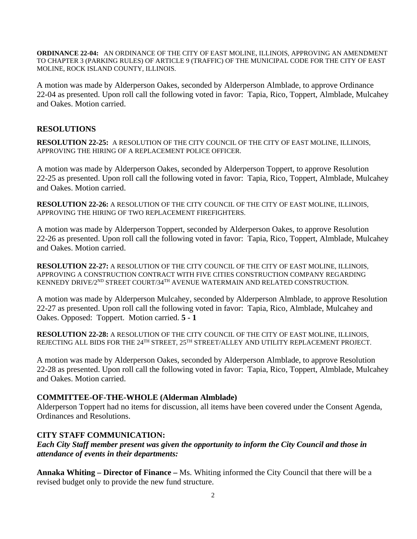**ORDINANCE 22-04:** AN ORDINANCE OF THE CITY OF EAST MOLINE, ILLINOIS, APPROVING AN AMENDMENT TO CHAPTER 3 (PARKING RULES) OF ARTICLE 9 (TRAFFIC) OF THE MUNICIPAL CODE FOR THE CITY OF EAST MOLINE, ROCK ISLAND COUNTY, ILLINOIS.

A motion was made by Alderperson Oakes, seconded by Alderperson Almblade, to approve Ordinance 22-04 as presented. Upon roll call the following voted in favor: Tapia, Rico, Toppert, Almblade, Mulcahey and Oakes. Motion carried.

## **RESOLUTIONS**

**RESOLUTION 22-25:** A RESOLUTION OF THE CITY COUNCIL OF THE CITY OF EAST MOLINE, ILLINOIS, APPROVING THE HIRING OF A REPLACEMENT POLICE OFFICER.

A motion was made by Alderperson Oakes, seconded by Alderperson Toppert, to approve Resolution 22-25 as presented. Upon roll call the following voted in favor: Tapia, Rico, Toppert, Almblade, Mulcahey and Oakes. Motion carried.

**RESOLUTION 22-26:** A RESOLUTION OF THE CITY COUNCIL OF THE CITY OF EAST MOLINE, ILLINOIS, APPROVING THE HIRING OF TWO REPLACEMENT FIREFIGHTERS.

A motion was made by Alderperson Toppert, seconded by Alderperson Oakes, to approve Resolution 22-26 as presented. Upon roll call the following voted in favor: Tapia, Rico, Toppert, Almblade, Mulcahey and Oakes. Motion carried.

**RESOLUTION 22-27:** A RESOLUTION OF THE CITY COUNCIL OF THE CITY OF EAST MOLINE, ILLINOIS, APPROVING A CONSTRUCTION CONTRACT WITH FIVE CITIES CONSTRUCTION COMPANY REGARDING KENNEDY DRIVE/2<sup>ND</sup> STREET COURT/34<sup>TH</sup> AVENUE WATERMAIN AND RELATED CONSTRUCTION.

A motion was made by Alderperson Mulcahey, seconded by Alderperson Almblade, to approve Resolution 22-27 as presented. Upon roll call the following voted in favor: Tapia, Rico, Almblade, Mulcahey and Oakes. Opposed: Toppert. Motion carried. **5 - 1**

**RESOLUTION 22-28:** A RESOLUTION OF THE CITY COUNCIL OF THE CITY OF EAST MOLINE, ILLINOIS, REJECTING ALL BIDS FOR THE 24<sup>TH</sup> STREET, 25<sup>TH</sup> STREET/ALLEY AND UTILITY REPLACEMENT PROJECT.

A motion was made by Alderperson Oakes, seconded by Alderperson Almblade, to approve Resolution 22-28 as presented. Upon roll call the following voted in favor: Tapia, Rico, Toppert, Almblade, Mulcahey and Oakes. Motion carried.

#### **COMMITTEE-OF-THE-WHOLE (Alderman Almblade)**

Alderperson Toppert had no items for discussion, all items have been covered under the Consent Agenda, Ordinances and Resolutions.

#### **CITY STAFF COMMUNICATION:**

*Each City Staff member present was given the opportunity to inform the City Council and those in attendance of events in their departments:* 

**Annaka Whiting – Director of Finance –** Ms. Whiting informed the City Council that there will be a revised budget only to provide the new fund structure.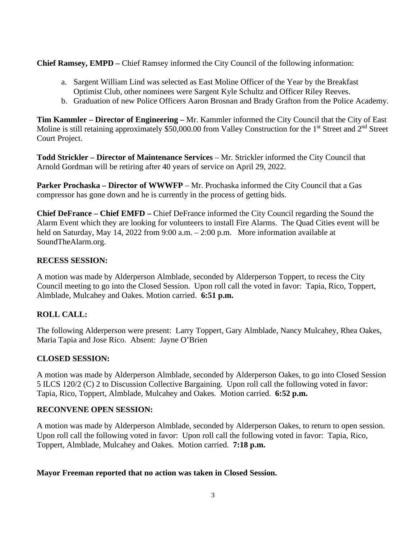**Chief Ramsey, EMPD –** Chief Ramsey informed the City Council of the following information:

- a. Sargent William Lind was selected as East Moline Officer of the Year by the Breakfast Optimist Club, other nominees were Sargent Kyle Schultz and Officer Riley Reeves.
- b. Graduation of new Police Officers Aaron Brosnan and Brady Grafton from the Police Academy.

**Tim Kammler – Director of Engineering –** Mr. Kammler informed the City Council that the City of East Moline is still retaining approximately \$50,000.00 from Valley Construction for the 1<sup>st</sup> Street and 2<sup>nd</sup> Street Court Project.

**Todd Strickler – Director of Maintenance Services** – Mr. Strickler informed the City Council that Arnold Gordman will be retiring after 40 years of service on April 29, 2022.

**Parker Prochaska – Director of WWWFP** – Mr. Prochaska informed the City Council that a Gas compressor has gone down and he is currently in the process of getting bids.

**Chief DeFrance – Chief EMFD –** Chief DeFrance informed the City Council regarding the Sound the Alarm Event which they are looking for volunteers to install Fire Alarms. The Quad Cities event will be held on Saturday, May 14, 2022 from 9:00 a.m. – 2:00 p.m. More information available at SoundTheAlarm.org.

#### **RECESS SESSION:**

A motion was made by Alderperson Almblade, seconded by Alderperson Toppert, to recess the City Council meeting to go into the Closed Session. Upon roll call the voted in favor: Tapia, Rico, Toppert, Almblade, Mulcahey and Oakes. Motion carried. **6:51 p.m.**

# **ROLL CALL:**

The following Alderperson were present: Larry Toppert, Gary Almblade, Nancy Mulcahey, Rhea Oakes, Maria Tapia and Jose Rico. Absent: Jayne O'Brien

#### **CLOSED SESSION:**

A motion was made by Alderperson Almblade, seconded by Alderperson Oakes, to go into Closed Session 5 ILCS 120/2 (C) 2 to Discussion Collective Bargaining. Upon roll call the following voted in favor: Tapia, Rico, Toppert, Almblade, Mulcahey and Oakes. Motion carried. **6:52 p.m.**

#### **RECONVENE OPEN SESSION:**

A motion was made by Alderperson Almblade, seconded by Alderperson Oakes, to return to open session. Upon roll call the following voted in favor: Upon roll call the following voted in favor: Tapia, Rico, Toppert, Almblade, Mulcahey and Oakes. Motion carried. **7:18 p.m.**

#### **Mayor Freeman reported that no action was taken in Closed Session.**